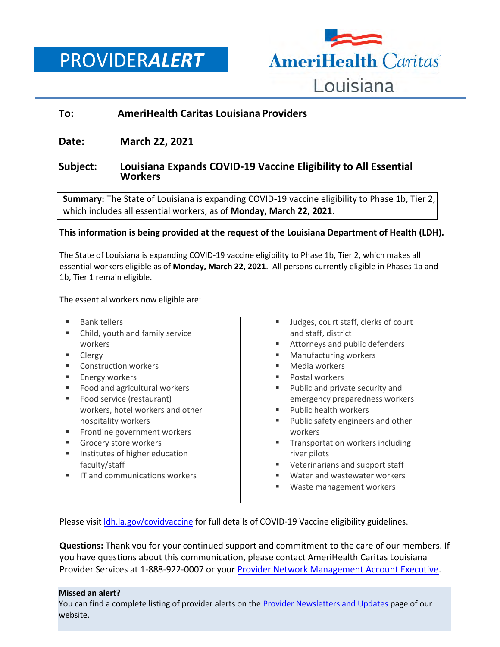PROVIDER*ALERT*



## **To: AmeriHealth Caritas Louisiana Providers**

# **Date: March 22, 2021**

### **Subject: Louisiana Expands COVID-19 Vaccine Eligibility to All Essential Workers**

**Summary:** The State of Louisiana is expanding COVID-19 vaccine eligibility to Phase 1b, Tier 2, which includes all essential workers, as of **Monday, March 22, 2021**.

### **This information is being provided at the request of the Louisiana Department of Health (LDH).**

The State of Louisiana is expanding COVID-19 vaccine eligibility to Phase 1b, Tier 2, which makes all essential workers eligible as of **Monday, March 22, 2021**. All persons currently eligible in Phases 1a and 1b, Tier 1 remain eligible.

The essential workers now eligible are:

- Bank tellers
- Child, youth and family service workers
- **Clergy**
- **E** Construction workers
- **Energy workers**
- Food and agricultural workers
- Food service (restaurant) workers, hotel workers and other hospitality workers
- **Frontline government workers**
- Grocery store workers
- **IF** Institutes of higher education faculty/staff
- **IF and communications workers**
- Judges, court staff, clerks of court and staff, district
- **Attorneys and public defenders**
- **Manufacturing workers**
- **Media workers**
- **Postal workers**
- **Public and private security and** emergency preparedness workers
- Public health workers
- Public safety engineers and other workers
- **Transportation workers including** river pilots
- **Veterinarians and support staff**
- Water and wastewater workers
- Waste management workers

Please visit [ldh.la.gov/covidvaccine](https://ldh.la.gov/covidvaccine/) for full details of COVID-19 Vaccine eligibility guidelines.

**Questions:** Thank you for your continued support and commitment to the care of our members. If you have questions about this communication, please contact AmeriHealth Caritas Louisiana Provider Services at 1-888-922-0007 or your [Provider Network Management Account Executive.](http://www.amerihealthcaritasla.com/pdf/provider/account-executives.pdf)

#### **Missed an alert?**

You can find a complete listing of provider alerts on the [Provider Newsletters and Updates](http://amerihealthcaritasla.com/provider/newsletters-and-updates.) page of our website.